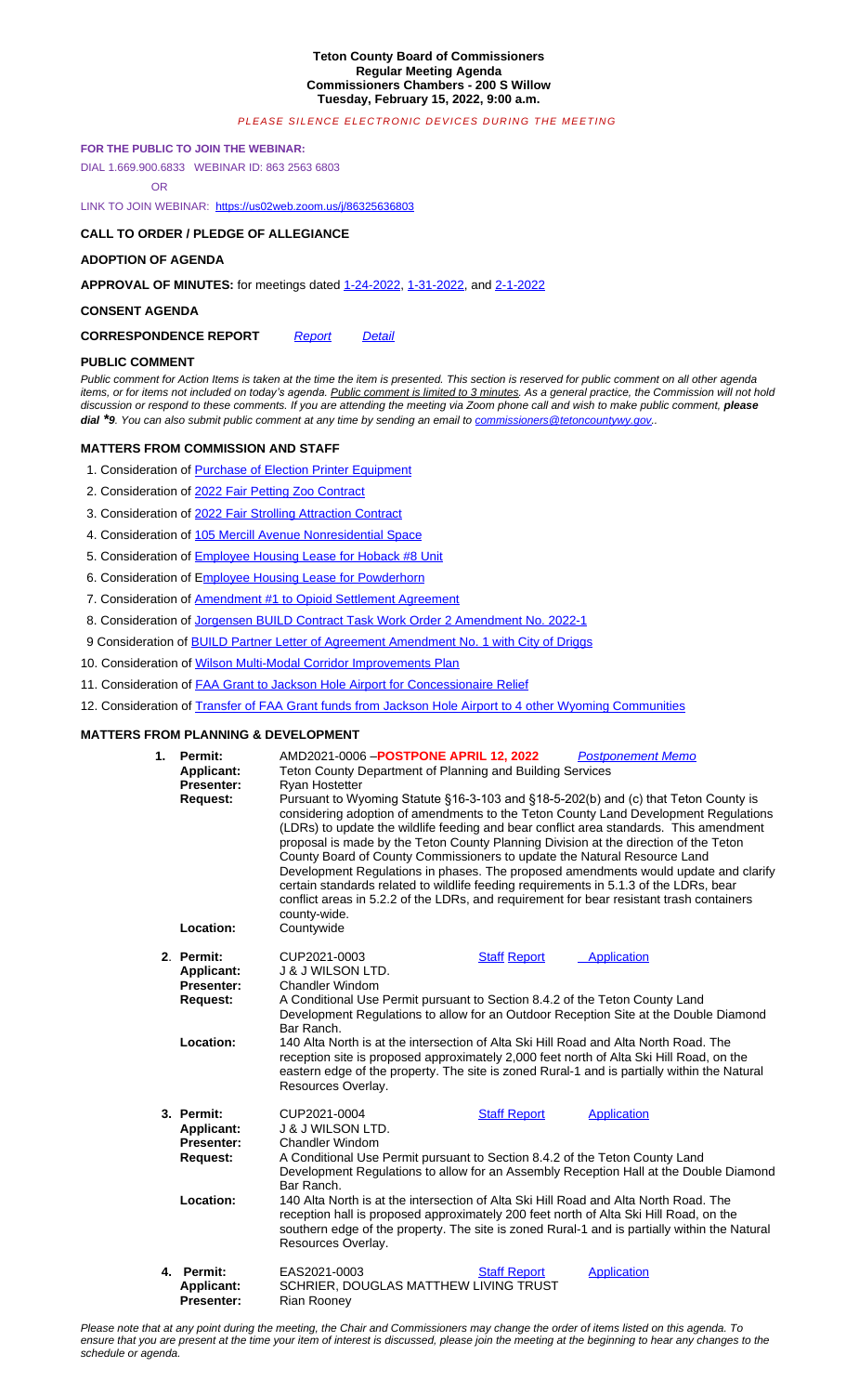#### **CONSENT AGENDA**

# **CORRESPONDENCE REPORT** *Report Detail*

## **PUBLIC COMMENT**

*Public comment for Action Items is taken at the time the item is presented. This section is reserved for public comment on all other agenda*  items, or for items not included on today's agenda. Public comment is limited to 3 minutes. As a general practice, the Commission will not hold discussion or respond to these comments. If you are attending the meeting via Zoom phone call and wish to make public comment, *please dial*<sup>\*9</sup>*. You can also submit public comment at any time by sending an email to commissioners@tetoncountywy.gov..* 

## **MATTERS FROM COMMISSION AND STAFF**

- 1. Consideration of Purchase of Election Printer Equipment
- 2. Consideration of 2022 Fair Petting Zoo Contract
- 3. Consideration of 202[2 Fair Strolling Attraction Contract](https://us02web.zoom.us/j/86325636803)
- 4. Consideration of 105 Mercill Avenue Nonresidential Space
- 5. Consideration of **Employee Housing Lease for Hoback #8 Unit**
- 6. Consideration of Employee Housing Lease f[or Powderh](https://www.tetoncountywy.gov/DocumentCenter/View/21202/01-24-22-V-Mins)[orn](https://www.tetoncountywy.gov/DocumentCenter/View/21203/01-31-22-V-Mins)
- [7. Consideration of A](https://www.tetoncountywy.gov/DocumentCenter/View/21204/02-01-22-R-Mins)mendment #1 to Opioid Settlement Agreement
- 8. Consideration of Jorgensen BUILD Contract Task Work Order 2 Amendment No. 2022-1
- [9 Consideration of BUILD Partner Let](https://www.tetoncountywy.gov/DocumentCenter/View/21204/02-01-22-R-Mins)[ter of A](https://www.tetoncountywy.gov/DocumentCenter/View/21201/0215-CorrespondenceReport)gree[ment A](https://www.tetoncountywy.gov/DocumentCenter/View/21200/0215-Correspondence-Detail)mendment No. 1 with City of Driggs
- 10. Consideration of Wilson Multi-Modal Corridor Improvements Plan
- 11. Consideration of **FAA Grant to Jackson Hole Airport for Concessionaire Relief**
- 12. Consideration of Transfer of FAA Grant funds from Jackson Hole Ai[rport to 4 other Wyoming Commun](mailto:commissioners@tetoncountywy.gov)ities

#### **[MATTERS FROM](mailto:commissioners@tetoncountywy.gov) PLANNING & DEVELOPMENT**

| 1. | Permit:<br><b>Applicant:</b><br>Presenter:<br><b>Request:</b><br>Location:           | AMD2021-0006 - POSTPONE APRIL 12, 2022<br><b>Postponement Memo</b><br>Teton County Department of Planning and Building Services<br>Ryan Hostetter<br>Pursuant to Wyoming Statute §16-3-103 and §18-5-202(b) and (c) that Teton County is<br>considering adoption of amendments to the Teton County Land Development Regulations<br>(LDRs) to update the wildlife feeding and bear conflict area standards. This amendment<br>proposal is made by the Teton County Planning Division at the direction of the Teton<br>County Board of County Commissioners to update the Natural Resource Land<br>Development Regulations in phases. The proposed amendments would update and clarify<br>certain standards related to wildlife feeding requirements in 5.1.3 of the LDRs, bear<br>conflict areas in 5.2.2 of the LDRs, and requirement for bear resistant trash containers<br>county-wide.<br>Countywide |                     |                    |
|----|--------------------------------------------------------------------------------------|---------------------------------------------------------------------------------------------------------------------------------------------------------------------------------------------------------------------------------------------------------------------------------------------------------------------------------------------------------------------------------------------------------------------------------------------------------------------------------------------------------------------------------------------------------------------------------------------------------------------------------------------------------------------------------------------------------------------------------------------------------------------------------------------------------------------------------------------------------------------------------------------------------|---------------------|--------------------|
|    | 2. Permit:<br><b>Applicant:</b><br><b>Presenter:</b><br><b>Request:</b>              | CUP2021-0003<br><b>J &amp; J WILSON LTD.</b><br><b>Chandler Windom</b><br>A Conditional Use Permit pursuant to Section 8.4.2 of the Teton County Land<br>Development Regulations to allow for an Outdoor Reception Site at the Double Diamond<br>Bar Ranch.                                                                                                                                                                                                                                                                                                                                                                                                                                                                                                                                                                                                                                             | <b>Staff Report</b> | Application        |
|    | Location:                                                                            | 140 Alta North is at the intersection of Alta Ski Hill Road and Alta North Road. The<br>reception site is proposed approximately 2,000 feet north of Alta Ski Hill Road, on the<br>eastern edge of the property. The site is zoned Rural-1 and is partially within the Natural<br>Resources Overlay.                                                                                                                                                                                                                                                                                                                                                                                                                                                                                                                                                                                                    |                     |                    |
|    | 3. Permit:<br><b>Applicant:</b><br><b>Presenter:</b><br><b>Request:</b><br>Location: | CUP2021-0004<br><b>Staff Report</b><br><b>Application</b><br><b>J &amp; J WILSON LTD.</b><br>Chandler Windom<br>A Conditional Use Permit pursuant to Section 8.4.2 of the Teton County Land<br>Development Regulations to allow for an Assembly Reception Hall at the Double Diamond<br>Bar Ranch.<br>140 Alta North is at the intersection of Alta Ski Hill Road and Alta North Road. The<br>reception hall is proposed approximately 200 feet north of Alta Ski Hill Road, on the<br>southern edge of the property. The site is zoned Rural-1 and is partially within the Natural<br>Resources Overlay.                                                                                                                                                                                                                                                                                               |                     |                    |
|    | 4. Permit:<br><b>Applicant:</b><br><b>Presenter:</b>                                 | EAS2021-0003<br>SCHRIER, DOUGLAS MATTHEW LIVING TRUST<br><b>Rian Roonev</b>                                                                                                                                                                                                                                                                                                                                                                                                                                                                                                                                                                                                                                                                                                                                                                                                                             | <b>Staff Report</b> | <b>Application</b> |

*Please note that at any point during the [meeting, the C](https://developmentrecords.tetoncountywy.gov/Portal/Planning/Status?planningId=20802)hair and Commissioners may change the order of items listed on this agenda. To ensure that you are [present at the time yo](https://developmentrecords.tetoncountywy.gov/Portal/Planning/Status?planningId=20802)ur item [of interest is discussed, please join the meet](https://developmentrecords.tetoncountywy.gov/Portal/Planning/Status?planningId=20802)ing at [the beginnin](https://developmentrecords.tetoncountywy.gov/Portal/Planning/Status?planningId=20802)g to [hear any changes](https://developmentrecords.tetoncountywy.gov/Portal/Planning/Status?planningId=20802) to the schedule or agenda.*